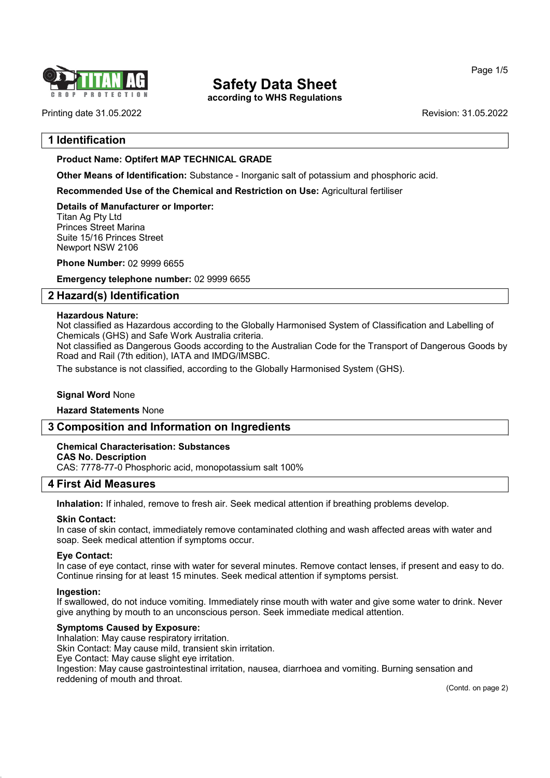

according to WHS Regulations

Printing date 31.05.2022 **Revision: 31.05.2022** 

Page 1/5

# 1 Identification

# Product Name: Optifert MAP TECHNICAL GRADE

Other Means of Identification: Substance - Inorganic salt of potassium and phosphoric acid.

Recommended Use of the Chemical and Restriction on Use: Agricultural fertiliser

Details of Manufacturer or Importer: Titan Ag Pty Ltd Princes Street Marina Suite 15/16 Princes Street Newport NSW 2106

Phone Number: 02 9999 6655

Emergency telephone number: 02 9999 6655

# 2 Hazard(s) Identification

### Hazardous Nature:

Not classified as Hazardous according to the Globally Harmonised System of Classification and Labelling of Chemicals (GHS) and Safe Work Australia criteria.

Not classified as Dangerous Goods according to the Australian Code for the Transport of Dangerous Goods by Road and Rail (7th edition), IATA and IMDG/IMSBC.

The substance is not classified, according to the Globally Harmonised System (GHS).

# **Signal Word None**

Hazard Statements None

# 3 Composition and Information on Ingredients

# Chemical Characterisation: Substances

CAS No. Description

CAS: 7778-77-0 Phosphoric acid, monopotassium salt 100%

# 4 First Aid Measures

Inhalation: If inhaled, remove to fresh air. Seek medical attention if breathing problems develop.

#### Skin Contact:

In case of skin contact, immediately remove contaminated clothing and wash affected areas with water and soap. Seek medical attention if symptoms occur.

#### Eye Contact:

In case of eye contact, rinse with water for several minutes. Remove contact lenses, if present and easy to do. Continue rinsing for at least 15 minutes. Seek medical attention if symptoms persist.

#### Ingestion:

54.0

If swallowed, do not induce vomiting. Immediately rinse mouth with water and give some water to drink. Never give anything by mouth to an unconscious person. Seek immediate medical attention.

#### Symptoms Caused by Exposure:

Inhalation: May cause respiratory irritation.

Skin Contact: May cause mild, transient skin irritation.

Eye Contact: May cause slight eye irritation.

Ingestion: May cause gastrointestinal irritation, nausea, diarrhoea and vomiting. Burning sensation and reddening of mouth and throat.

(Contd. on page 2)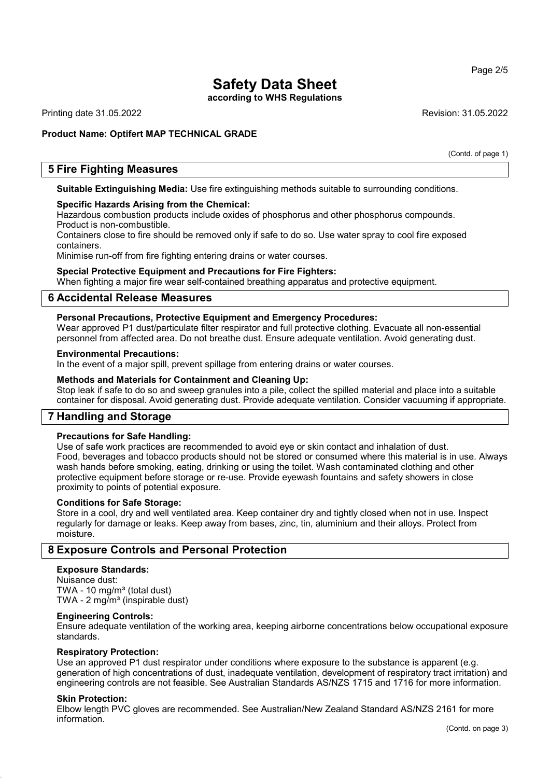according to WHS Regulations

Printing date 31.05.2022 **Revision: 31.05.2022** 

# Product Name: Optifert MAP TECHNICAL GRADE

(Contd. of page 1)

# 5 Fire Fighting Measures

Suitable Extinguishing Media: Use fire extinguishing methods suitable to surrounding conditions.

#### Specific Hazards Arising from the Chemical:

Hazardous combustion products include oxides of phosphorus and other phosphorus compounds. Product is non-combustible.

Containers close to fire should be removed only if safe to do so. Use water spray to cool fire exposed containers.

Minimise run-off from fire fighting entering drains or water courses.

#### Special Protective Equipment and Precautions for Fire Fighters:

When fighting a major fire wear self-contained breathing apparatus and protective equipment.

### 6 Accidental Release Measures

#### Personal Precautions, Protective Equipment and Emergency Procedures:

Wear approved P1 dust/particulate filter respirator and full protective clothing. Evacuate all non-essential personnel from affected area. Do not breathe dust. Ensure adequate ventilation. Avoid generating dust.

#### Environmental Precautions:

In the event of a major spill, prevent spillage from entering drains or water courses.

#### Methods and Materials for Containment and Cleaning Up:

Stop leak if safe to do so and sweep granules into a pile, collect the spilled material and place into a suitable container for disposal. Avoid generating dust. Provide adequate ventilation. Consider vacuuming if appropriate.

# 7 Handling and Storage

#### Precautions for Safe Handling:

Use of safe work practices are recommended to avoid eye or skin contact and inhalation of dust. Food, beverages and tobacco products should not be stored or consumed where this material is in use. Always wash hands before smoking, eating, drinking or using the toilet. Wash contaminated clothing and other protective equipment before storage or re-use. Provide eyewash fountains and safety showers in close proximity to points of potential exposure.

#### Conditions for Safe Storage:

Store in a cool, dry and well ventilated area. Keep container dry and tightly closed when not in use. Inspect regularly for damage or leaks. Keep away from bases, zinc, tin, aluminium and their alloys. Protect from moisture.

### 8 Exposure Controls and Personal Protection

### Exposure Standards:

Nuisance dust: TWA - 10 mg/m $3$  (total dust) TWA -  $2 \text{ mg/m}^3$  (inspirable dust)

#### Engineering Controls:

Ensure adequate ventilation of the working area, keeping airborne concentrations below occupational exposure standards.

#### Respiratory Protection:

Use an approved P1 dust respirator under conditions where exposure to the substance is apparent (e.g. generation of high concentrations of dust, inadequate ventilation, development of respiratory tract irritation) and engineering controls are not feasible. See Australian Standards AS/NZS 1715 and 1716 for more information.

#### Skin Protection:

54.0

Elbow length PVC gloves are recommended. See Australian/New Zealand Standard AS/NZS 2161 for more information.

#### Page 2/5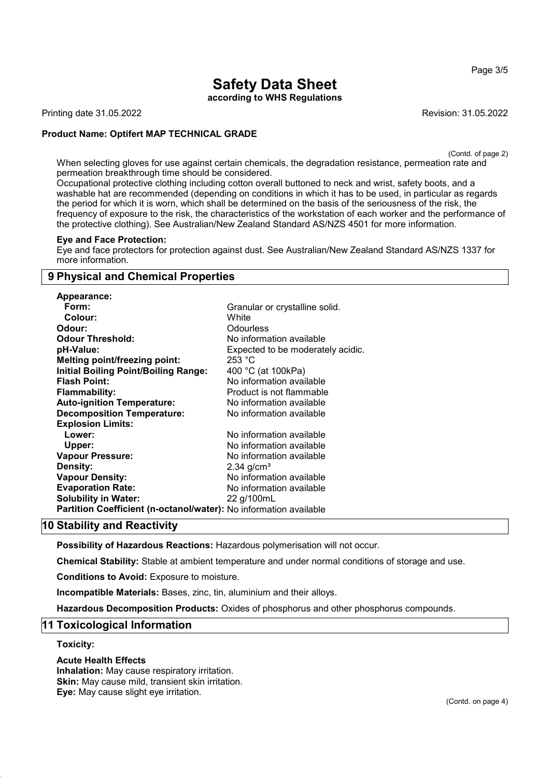Page 3/5

# Safety Data Sheet

according to WHS Regulations

Printing date 31.05.2022 **Revision: 31.05.2022** 

# Product Name: Optifert MAP TECHNICAL GRADE

(Contd. of page 2)

When selecting gloves for use against certain chemicals, the degradation resistance, permeation rate and permeation breakthrough time should be considered.

Occupational protective clothing including cotton overall buttoned to neck and wrist, safety boots, and a washable hat are recommended (depending on conditions in which it has to be used, in particular as regards the period for which it is worn, which shall be determined on the basis of the seriousness of the risk, the frequency of exposure to the risk, the characteristics of the workstation of each worker and the performance of the protective clothing). See Australian/New Zealand Standard AS/NZS 4501 for more information.

#### Eye and Face Protection:

Eye and face protectors for protection against dust. See Australian/New Zealand Standard AS/NZS 1337 for more information.

# 9 Physical and Chemical Properties

| Appearance:                                                       |                                   |
|-------------------------------------------------------------------|-----------------------------------|
| Form:                                                             | Granular or crystalline solid.    |
| Colour:                                                           | White                             |
| Odour:                                                            | <b>Odourless</b>                  |
| <b>Odour Threshold:</b>                                           | No information available          |
| pH-Value:                                                         | Expected to be moderately acidic. |
| <b>Melting point/freezing point:</b>                              | 253 °C                            |
| <b>Initial Boiling Point/Boiling Range:</b>                       | 400 °C (at 100kPa)                |
| <b>Flash Point:</b>                                               | No information available          |
| <b>Flammability:</b>                                              | Product is not flammable          |
| <b>Auto-ignition Temperature:</b>                                 | No information available          |
| <b>Decomposition Temperature:</b>                                 | No information available          |
| <b>Explosion Limits:</b>                                          |                                   |
| Lower:                                                            | No information available          |
| Upper:                                                            | No information available          |
| Vapour Pressure:                                                  | No information available          |
| <b>Density:</b>                                                   | $2.34$ g/cm <sup>3</sup>          |
| <b>Vapour Density:</b>                                            | No information available          |
| <b>Evaporation Rate:</b>                                          | No information available          |
| <b>Solubility in Water:</b>                                       | 22 g/100mL                        |
| Partition Coefficient (n-octanol/water): No information available |                                   |

# 10 Stability and Reactivity

Possibility of Hazardous Reactions: Hazardous polymerisation will not occur.

Chemical Stability: Stable at ambient temperature and under normal conditions of storage and use.

Conditions to Avoid: Exposure to moisture.

Incompatible Materials: Bases, zinc, tin, aluminium and their alloys.

Hazardous Decomposition Products: Oxides of phosphorus and other phosphorus compounds.

# 11 Toxicological Information

#### Toxicity:

54.0

#### Acute Health Effects

Inhalation: May cause respiratory irritation. Skin: May cause mild, transient skin irritation. Eye: May cause slight eye irritation.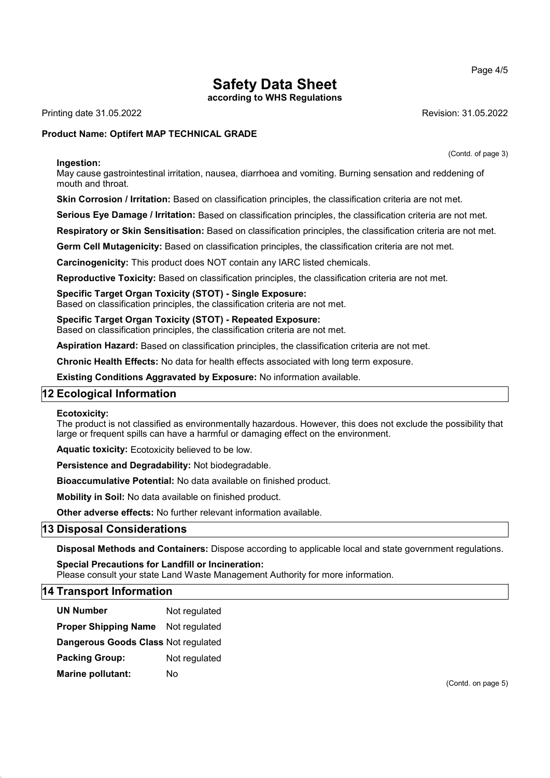according to WHS Regulations

Printing date 31.05.2022 **Revision: 31.05.2022** Revision: 31.05.2022

# Product Name: Optifert MAP TECHNICAL GRADE

(Contd. of page 3)

Ingestion: May cause gastrointestinal irritation, nausea, diarrhoea and vomiting. Burning sensation and reddening of mouth and throat.

Skin Corrosion / Irritation: Based on classification principles, the classification criteria are not met.

Serious Eye Damage / Irritation: Based on classification principles, the classification criteria are not met.

Respiratory or Skin Sensitisation: Based on classification principles, the classification criteria are not met.

Germ Cell Mutagenicity: Based on classification principles, the classification criteria are not met.

Carcinogenicity: This product does NOT contain any IARC listed chemicals.

Reproductive Toxicity: Based on classification principles, the classification criteria are not met.

Specific Target Organ Toxicity (STOT) - Single Exposure:

Based on classification principles, the classification criteria are not met.

Specific Target Organ Toxicity (STOT) - Repeated Exposure: Based on classification principles, the classification criteria are not met.

Aspiration Hazard: Based on classification principles, the classification criteria are not met.

Chronic Health Effects: No data for health effects associated with long term exposure.

Existing Conditions Aggravated by Exposure: No information available.

# 12 Ecological Information

#### Ecotoxicity:

The product is not classified as environmentally hazardous. However, this does not exclude the possibility that large or frequent spills can have a harmful or damaging effect on the environment.

Aquatic toxicity: Ecotoxicity believed to be low.

Persistence and Degradability: Not biodegradable.

Bioaccumulative Potential: No data available on finished product.

Mobility in Soil: No data available on finished product.

Other adverse effects: No further relevant information available.

# 13 Disposal Considerations

Disposal Methods and Containers: Dispose according to applicable local and state government regulations.

Special Precautions for Landfill or Incineration:

Please consult your state Land Waste Management Authority for more information.

# 14 Transport Information

54.0

| <b>UN Number</b>                    | Not regulated |
|-------------------------------------|---------------|
| <b>Proper Shipping Name</b>         | Not regulated |
| Dangerous Goods Class Not regulated |               |
| <b>Packing Group:</b>               | Not regulated |
| Marine pollutant:                   | N٥            |

(Contd. on page 5)